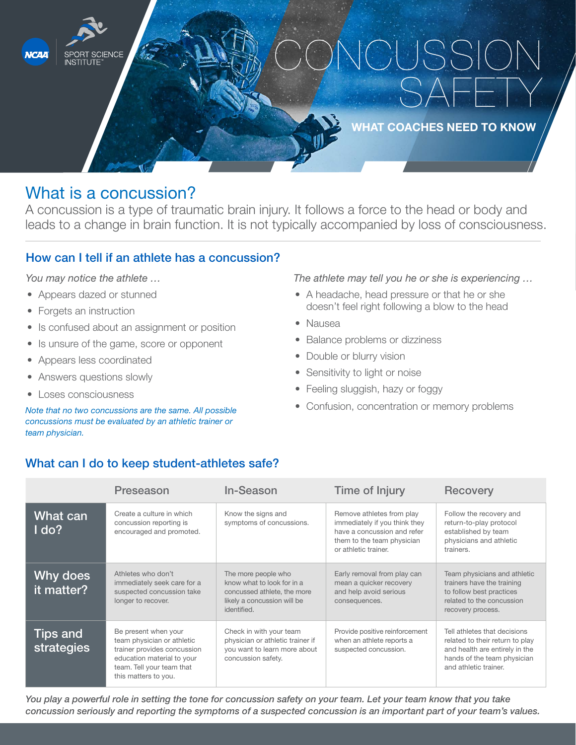

# What is a concussion?

A concussion is a type of traumatic brain injury. It follows a force to the head or body and leads to a change in brain function. It is not typically accompanied by loss of consciousness.

## How can I tell if an athlete has a concussion?

*You may notice the athlete …*

- Appears dazed or stunned
- Forgets an instruction
- Is confused about an assignment or position
- Is unsure of the game, score or opponent
- Appears less coordinated
- Answers questions slowly
- Loses consciousness

*Note that no two concussions are the same. All possible concussions must be evaluated by an athletic trainer or team physician.* 

#### *The athlete may tell you he or she is experiencing …*

- A headache, head pressure or that he or she doesn't feel right following a blow to the head
- Nausea
- Balance problems or dizziness
- Double or blurry vision
- Sensitivity to light or noise
- Feeling sluggish, hazy or foggy
- Confusion, concentration or memory problems

## What can I do to keep student-athletes safe?

|                               | Preseason                                                                                                                                                            | In-Season                                                                                                                      | Time of Injury                                                                                                                                  | <b>Recovery</b>                                                                                                                                           |
|-------------------------------|----------------------------------------------------------------------------------------------------------------------------------------------------------------------|--------------------------------------------------------------------------------------------------------------------------------|-------------------------------------------------------------------------------------------------------------------------------------------------|-----------------------------------------------------------------------------------------------------------------------------------------------------------|
| What can<br>Ido?              | Create a culture in which<br>concussion reporting is<br>encouraged and promoted.                                                                                     | Know the signs and<br>symptoms of concussions.                                                                                 | Remove athletes from play<br>immediately if you think they<br>have a concussion and refer<br>them to the team physician<br>or athletic trainer. | Follow the recovery and<br>return-to-play protocol<br>established by team<br>physicians and athletic<br>trainers.                                         |
| Why does<br>it matter?        | Athletes who don't<br>immediately seek care for a<br>suspected concussion take<br>longer to recover.                                                                 | The more people who<br>know what to look for in a<br>concussed athlete, the more<br>likely a concussion will be<br>identified. | Early removal from play can<br>mean a quicker recovery<br>and help avoid serious<br>consequences.                                               | Team physicians and athletic<br>trainers have the training<br>to follow best practices<br>related to the concussion<br>recovery process.                  |
| <b>Tips and</b><br>strategies | Be present when your<br>team physician or athletic<br>trainer provides concussion<br>education material to your<br>team. Tell your team that<br>this matters to you. | Check in with your team<br>physician or athletic trainer if<br>you want to learn more about<br>concussion safety.              | Provide positive reinforcement<br>when an athlete reports a<br>suspected concussion.                                                            | Tell athletes that decisions<br>related to their return to play<br>and health are entirely in the<br>hands of the team physician<br>and athletic trainer. |

*You play a powerful role in setting the tone for concussion safety on your team. Let your team know that you take concussion seriously and reporting the symptoms of a suspected concussion is an important part of your team's values.*